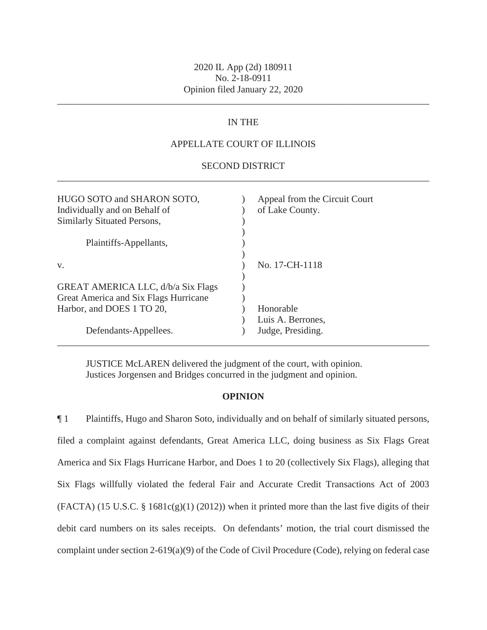\_\_\_\_\_\_\_\_\_\_\_\_\_\_\_\_\_\_\_\_\_\_\_\_\_\_\_\_\_\_\_\_\_\_\_\_\_\_\_\_\_\_\_\_\_\_\_\_\_\_\_\_\_\_\_\_\_\_\_\_\_\_\_\_\_\_\_\_\_\_\_\_\_\_\_\_\_\_

# IN THE

## APPELLATE COURT OF ILLINOIS

## \_\_\_\_\_\_\_\_\_\_\_\_\_\_\_\_\_\_\_\_\_\_\_\_\_\_\_\_\_\_\_\_\_\_\_\_\_\_\_\_\_\_\_\_\_\_\_\_\_\_\_\_\_\_\_\_\_\_\_\_\_\_\_\_\_\_\_\_\_\_\_\_\_\_\_\_\_\_ SECOND DISTRICT

| HUGO SOTO and SHARON SOTO,<br>Individually and on Behalf of<br>Similarly Situated Persons, | Appeal from the Circuit Court<br>of Lake County. |
|--------------------------------------------------------------------------------------------|--------------------------------------------------|
| Plaintiffs-Appellants,                                                                     |                                                  |
| V.                                                                                         | No. 17-CH-1118                                   |
| GREAT AMERICA LLC, d/b/a Six Flags                                                         |                                                  |
| Great America and Six Flags Hurricane                                                      |                                                  |
| Harbor, and DOES 1 TO 20,                                                                  | Honorable                                        |
|                                                                                            | Luis A. Berrones,                                |
| Defendants-Appellees.                                                                      | Judge, Presiding.                                |
|                                                                                            |                                                  |

JUSTICE McLAREN delivered the judgment of the court, with opinion. Justices Jorgensen and Bridges concurred in the judgment and opinion.

## **OPINION**

¶ 1 Plaintiffs, Hugo and Sharon Soto, individually and on behalf of similarly situated persons, filed a complaint against defendants, Great America LLC, doing business as Six Flags Great America and Six Flags Hurricane Harbor, and Does 1 to 20 (collectively Six Flags), alleging that Six Flags willfully violated the federal Fair and Accurate Credit Transactions Act of 2003 (FACTA) (15 U.S.C. §  $1681c(g)(1)$  (2012)) when it printed more than the last five digits of their debit card numbers on its sales receipts. On defendants' motion, the trial court dismissed the complaint under section 2-619(a)(9) of the Code of Civil Procedure (Code), relying on federal case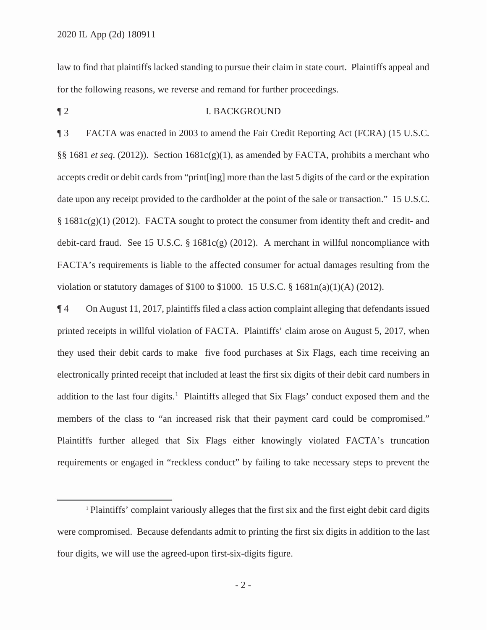law to find that plaintiffs lacked standing to pursue their claim in state court. Plaintiffs appeal and for the following reasons, we reverse and remand for further proceedings.

#### ¶ 2 I. BACKGROUND

¶ 3 FACTA was enacted in 2003 to amend the Fair Credit Reporting Act (FCRA) (15 U.S.C. §§ 1681 *et seq*. (2012)). Section 1681c(g)(1), as amended by FACTA, prohibits a merchant who accepts credit or debit cards from "print[ing] more than the last 5 digits of the card or the expiration date upon any receipt provided to the cardholder at the point of the sale or transaction." 15 U.S.C. § 1681c(g)(1) (2012). FACTA sought to protect the consumer from identity theft and credit- and debit-card fraud. See 15 U.S.C.  $\S$  1681c(g) (2012). A merchant in willful noncompliance with FACTA's requirements is liable to the affected consumer for actual damages resulting from the violation or statutory damages of \$100 to \$1000. 15 U.S.C. § 1681n(a)(1)(A) (2012).

¶ 4 On August 11, 2017, plaintiffs filed a class action complaint alleging that defendants issued printed receipts in willful violation of FACTA. Plaintiffs' claim arose on August 5, 2017, when they used their debit cards to make five food purchases at Six Flags, each time receiving an electronically printed receipt that included at least the first six digits of their debit card numbers in addition to the last four digits.<sup>1</sup> Plaintiffs alleged that Six Flags' conduct exposed them and the members of the class to "an increased risk that their payment card could be compromised." Plaintiffs further alleged that Six Flags either knowingly violated FACTA's truncation requirements or engaged in "reckless conduct" by failing to take necessary steps to prevent the

<sup>&</sup>lt;sup>1</sup> Plaintiffs' complaint variously alleges that the first six and the first eight debit card digits were compromised. Because defendants admit to printing the first six digits in addition to the last four digits, we will use the agreed-upon first-six-digits figure.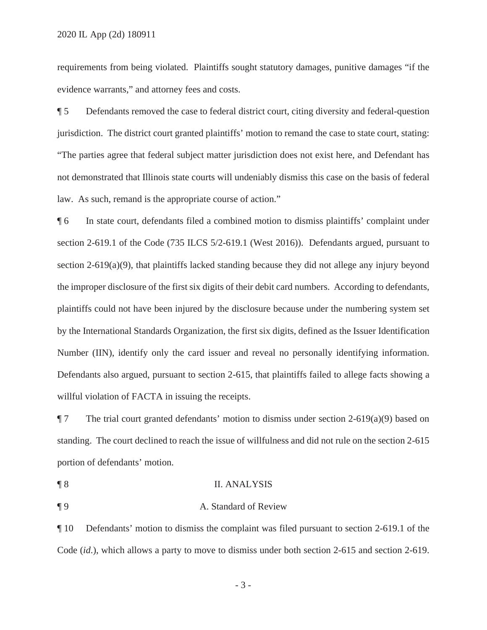requirements from being violated. Plaintiffs sought statutory damages, punitive damages "if the evidence warrants," and attorney fees and costs.

¶ 5 Defendants removed the case to federal district court, citing diversity and federal-question jurisdiction. The district court granted plaintiffs' motion to remand the case to state court, stating: "The parties agree that federal subject matter jurisdiction does not exist here, and Defendant has not demonstrated that Illinois state courts will undeniably dismiss this case on the basis of federal law. As such, remand is the appropriate course of action."

¶ 6 In state court, defendants filed a combined motion to dismiss plaintiffs' complaint under section 2-619.1 of the Code (735 ILCS 5/2-619.1 (West 2016)). Defendants argued, pursuant to section 2-619(a)(9), that plaintiffs lacked standing because they did not allege any injury beyond the improper disclosure of the first six digits of their debit card numbers. According to defendants, plaintiffs could not have been injured by the disclosure because under the numbering system set by the International Standards Organization, the first six digits, defined as the Issuer Identification Number (IIN), identify only the card issuer and reveal no personally identifying information. Defendants also argued, pursuant to section 2-615, that plaintiffs failed to allege facts showing a willful violation of FACTA in issuing the receipts.

 $\P$  7 The trial court granted defendants' motion to dismiss under section 2-619(a)(9) based on standing. The court declined to reach the issue of willfulness and did not rule on the section 2-615 portion of defendants' motion.

- ¶ 8 II. ANALYSIS
- 

# ¶ 9 A. Standard of Review

¶ 10 Defendants' motion to dismiss the complaint was filed pursuant to section 2-619.1 of the Code (*id*.), which allows a party to move to dismiss under both section 2-615 and section 2-619.

-3-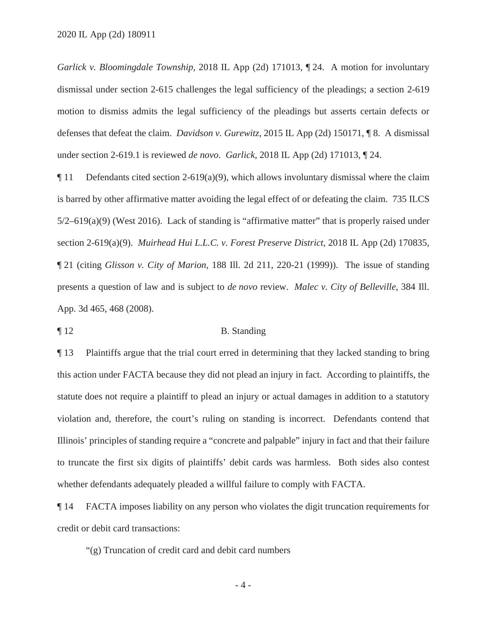*Garlick v. Bloomingdale Township*, 2018 IL App (2d) 171013, ¶ 24. A motion for involuntary dismissal under section 2-615 challenges the legal sufficiency of the pleadings; a section 2-619 motion to dismiss admits the legal sufficiency of the pleadings but asserts certain defects or defenses that defeat the claim. *Davidson v. Gurewitz*, 2015 IL App (2d) 150171, ¶ 8. A dismissal under section 2-619.1 is reviewed *de novo*. *Garlick*, 2018 IL App (2d) 171013, ¶ 24.

 $\P$  11 Defendants cited section 2-619(a)(9), which allows involuntary dismissal where the claim is barred by other affirmative matter avoiding the legal effect of or defeating the claim. 735 ILCS 5/2–619(a)(9) (West 2016). Lack of standing is "affirmative matter" that is properly raised under section 2-619(a)(9). *Muirhead Hui L.L.C. v. Forest Preserve District*, 2018 IL App (2d) 170835, ¶ 21 (citing *Glisson v. City of Marion*, 188 Ill. 2d 211, 220-21 (1999)). The issue of standing presents a question of law and is subject to *de novo* review. *Malec v. City of Belleville*, 384 Ill. App. 3d 465, 468 (2008).

¶ 12 B. Standing

¶ 13 Plaintiffs argue that the trial court erred in determining that they lacked standing to bring this action under FACTA because they did not plead an injury in fact. According to plaintiffs, the statute does not require a plaintiff to plead an injury or actual damages in addition to a statutory violation and, therefore, the court's ruling on standing is incorrect. Defendants contend that Illinois' principles of standing require a "concrete and palpable" injury in fact and that their failure to truncate the first six digits of plaintiffs' debit cards was harmless. Both sides also contest whether defendants adequately pleaded a willful failure to comply with FACTA.

¶ 14 FACTA imposes liability on any person who violates the digit truncation requirements for credit or debit card transactions:

"(g) Truncation of credit card and debit card numbers

-4-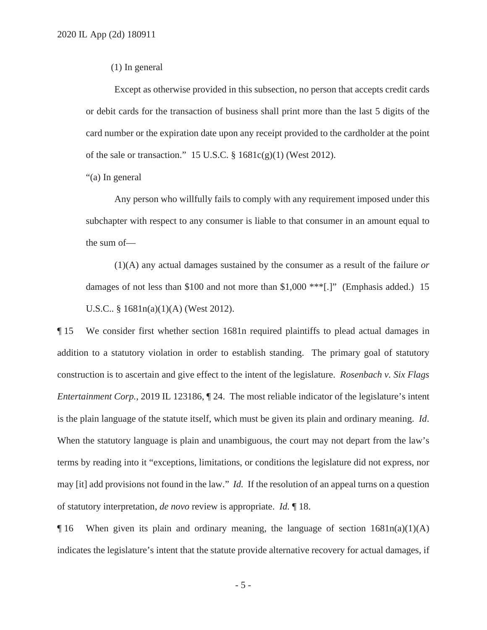## (1) In general

Except as otherwise provided in this subsection, no person that accepts credit cards or debit cards for the transaction of business shall print more than the last 5 digits of the card number or the expiration date upon any receipt provided to the cardholder at the point of the sale or transaction." 15 U.S.C. § 1681c(g)(1) (West 2012).

"(a) In general

Any person who willfully fails to comply with any requirement imposed under this subchapter with respect to any consumer is liable to that consumer in an amount equal to the sum of—

(1)(A) any actual damages sustained by the consumer as a result of the failure *or* damages of not less than \$100 and not more than \$1,000 \*\*\*[.]" (Emphasis added.) 15 U.S.C.. § 1681n(a)(1)(A) (West 2012).

¶ 15 We consider first whether section 1681n required plaintiffs to plead actual damages in addition to a statutory violation in order to establish standing. The primary goal of statutory construction is to ascertain and give effect to the intent of the legislature. *Rosenbach v. Six Flags Entertainment Corp.*, 2019 IL 123186,  $\P$  24. The most reliable indicator of the legislature's intent is the plain language of the statute itself, which must be given its plain and ordinary meaning. *Id*. When the statutory language is plain and unambiguous, the court may not depart from the law's terms by reading into it "exceptions, limitations, or conditions the legislature did not express, nor may [it] add provisions not found in the law." *Id.* If the resolution of an appeal turns on a question of statutory interpretation, *de novo* review is appropriate. *Id.* ¶ 18.

 $\P$ 16 When given its plain and ordinary meaning, the language of section  $1681n(a)(1)(A)$ indicates the legislature's intent that the statute provide alternative recovery for actual damages, if

-5-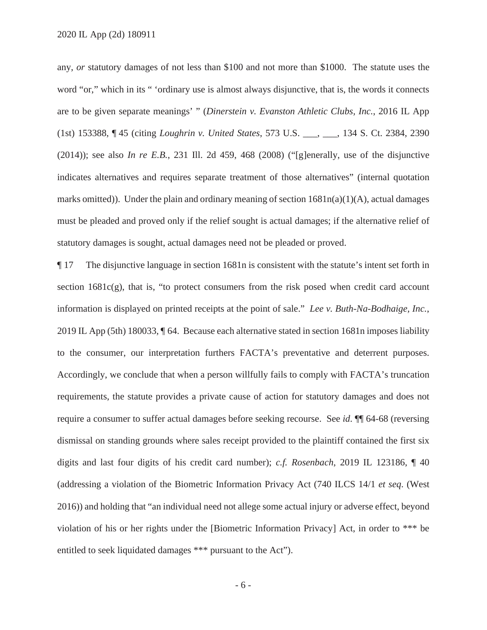any, *or* statutory damages of not less than \$100 and not more than \$1000. The statute uses the word "or," which in its " 'ordinary use is almost always disjunctive, that is, the words it connects are to be given separate meanings' " (*Dinerstein v. Evanston Athletic Clubs, Inc.*, 2016 IL App (1st) 153388, ¶ 45 (citing *Loughrin v. United States*, 573 U.S. \_\_\_, \_\_\_, 134 S. Ct. 2384, 2390 (2014)); see also *In re E.B.*, 231 Ill. 2d 459, 468 (2008) ("[g]enerally, use of the disjunctive indicates alternatives and requires separate treatment of those alternatives" (internal quotation marks omitted)). Under the plain and ordinary meaning of section 1681n(a)(1)(A), actual damages must be pleaded and proved only if the relief sought is actual damages; if the alternative relief of statutory damages is sought, actual damages need not be pleaded or proved.

¶ 17 The disjunctive language in section 1681n is consistent with the statute's intent set forth in section  $1681c(g)$ , that is, "to protect consumers from the risk posed when credit card account information is displayed on printed receipts at the point of sale." *Lee v. Buth-Na-Bodhaige, Inc.*, 2019 IL App (5th) 180033, ¶ 64. Because each alternative stated in section 1681n imposes liability to the consumer, our interpretation furthers FACTA's preventative and deterrent purposes. Accordingly, we conclude that when a person willfully fails to comply with FACTA's truncation requirements, the statute provides a private cause of action for statutory damages and does not require a consumer to suffer actual damages before seeking recourse. See *id*. ¶¶ 64-68 (reversing dismissal on standing grounds where sales receipt provided to the plaintiff contained the first six digits and last four digits of his credit card number); *c.f. Rosenbach*, 2019 IL 123186, ¶ 40 (addressing a violation of the Biometric Information Privacy Act (740 ILCS 14/1 *et seq*. (West 2016)) and holding that "an individual need not allege some actual injury or adverse effect, beyond violation of his or her rights under the [Biometric Information Privacy] Act, in order to \*\*\* be entitled to seek liquidated damages \*\*\* pursuant to the Act").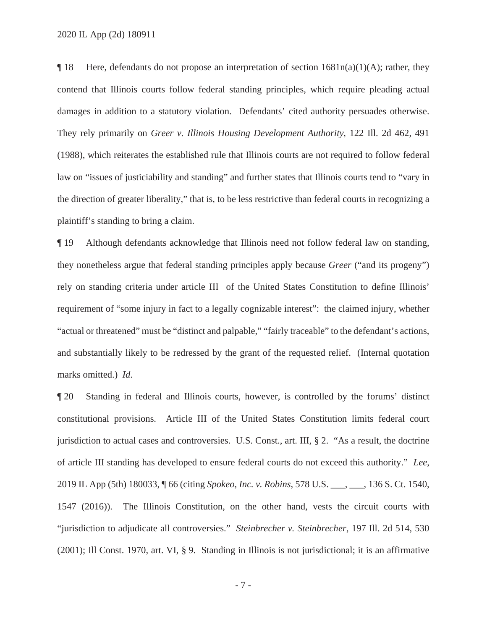2020 IL App (2d) 180911

 $\P$  18 Here, defendants do not propose an interpretation of section  $1681n(a)(1)(A)$ ; rather, they contend that Illinois courts follow federal standing principles, which require pleading actual damages in addition to a statutory violation. Defendants' cited authority persuades otherwise. They rely primarily on *Greer v. Illinois Housing Development Authority*, 122 Ill. 2d 462, 491 (1988), which reiterates the established rule that Illinois courts are not required to follow federal law on "issues of justiciability and standing" and further states that Illinois courts tend to "vary in the direction of greater liberality," that is, to be less restrictive than federal courts in recognizing a plaintiff's standing to bring a claim.

¶ 19 Although defendants acknowledge that Illinois need not follow federal law on standing, they nonetheless argue that federal standing principles apply because *Greer* ("and its progeny") rely on standing criteria under article III of the United States Constitution to define Illinois' requirement of "some injury in fact to a legally cognizable interest": the claimed injury, whether "actual or threatened" must be "distinct and palpable," "fairly traceable" to the defendant's actions, and substantially likely to be redressed by the grant of the requested relief. (Internal quotation marks omitted.) *Id*.

¶ 20 Standing in federal and Illinois courts, however, is controlled by the forums' distinct constitutional provisions. Article III of the United States Constitution limits federal court jurisdiction to actual cases and controversies. U.S. Const., art. III, § 2. "As a result, the doctrine of article III standing has developed to ensure federal courts do not exceed this authority." *Lee*, 2019 IL App (5th) 180033, ¶ 66 (citing *Spokeo, Inc. v. Robins*, 578 U.S. \_\_\_, \_\_\_, 136 S. Ct. 1540, 1547 (2016)). The Illinois Constitution, on the other hand, vests the circuit courts with "jurisdiction to adjudicate all controversies." *Steinbrecher v. Steinbrecher*, 197 Ill. 2d 514, 530 (2001); Ill Const. 1970, art. VI, § 9. Standing in Illinois is not jurisdictional; it is an affirmative

-7-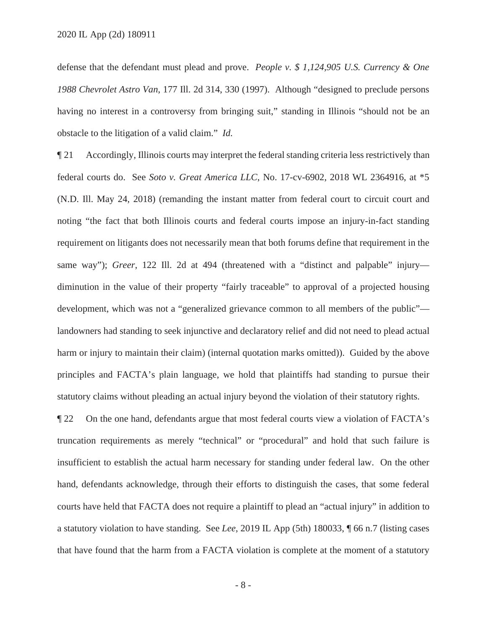defense that the defendant must plead and prove. *People v. \$ 1,124,905 U.S. Currency & One 1988 Chevrolet Astro Van*, 177 Ill. 2d 314, 330 (1997). Although "designed to preclude persons having no interest in a controversy from bringing suit," standing in Illinois "should not be an obstacle to the litigation of a valid claim." *Id.*

¶ 21 Accordingly, Illinois courts may interpret the federal standing criteria less restrictively than federal courts do. See *Soto v. Great America LLC*, No. 17-cv-6902, 2018 WL 2364916, at \*5 (N.D. Ill. May 24, 2018) (remanding the instant matter from federal court to circuit court and noting "the fact that both Illinois courts and federal courts impose an injury-in-fact standing requirement on litigants does not necessarily mean that both forums define that requirement in the same way"); *Greer*, 122 Ill. 2d at 494 (threatened with a "distinct and palpable" injury diminution in the value of their property "fairly traceable" to approval of a projected housing development, which was not a "generalized grievance common to all members of the public" landowners had standing to seek injunctive and declaratory relief and did not need to plead actual harm or injury to maintain their claim) (internal quotation marks omitted)). Guided by the above principles and FACTA's plain language, we hold that plaintiffs had standing to pursue their statutory claims without pleading an actual injury beyond the violation of their statutory rights.

¶ 22 On the one hand, defendants argue that most federal courts view a violation of FACTA's truncation requirements as merely "technical" or "procedural" and hold that such failure is insufficient to establish the actual harm necessary for standing under federal law. On the other hand, defendants acknowledge, through their efforts to distinguish the cases, that some federal courts have held that FACTA does not require a plaintiff to plead an "actual injury" in addition to a statutory violation to have standing. See *Lee*, 2019 IL App (5th) 180033, ¶ 66 n.7 (listing cases that have found that the harm from a FACTA violation is complete at the moment of a statutory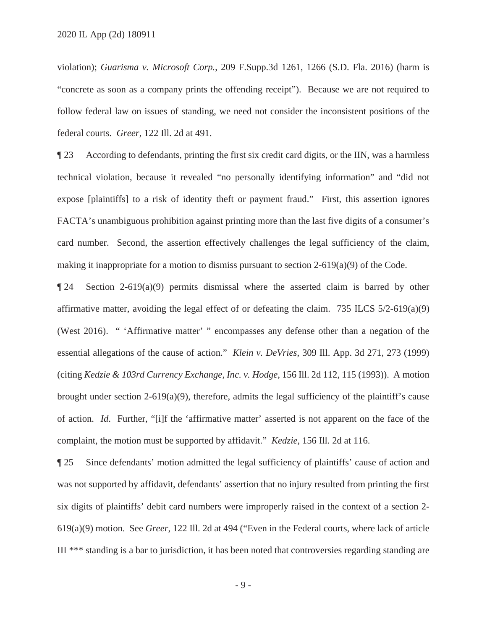violation); *Guarisma v. Microsoft Corp.*, 209 F.Supp.3d 1261, 1266 (S.D. Fla. 2016) (harm is "concrete as soon as a company prints the offending receipt"). Because we are not required to follow federal law on issues of standing, we need not consider the inconsistent positions of the federal courts. *Greer*, 122 Ill. 2d at 491.

¶ 23 According to defendants, printing the first six credit card digits, or the IIN, was a harmless technical violation, because it revealed "no personally identifying information" and "did not expose [plaintiffs] to a risk of identity theft or payment fraud." First, this assertion ignores FACTA's unambiguous prohibition against printing more than the last five digits of a consumer's card number. Second, the assertion effectively challenges the legal sufficiency of the claim, making it inappropriate for a motion to dismiss pursuant to section 2-619(a)(9) of the Code.

 $\P$  24 Section 2-619(a)(9) permits dismissal where the asserted claim is barred by other affirmative matter, avoiding the legal effect of or defeating the claim. 735 ILCS  $5/2-619(a)(9)$ (West 2016). " 'Affirmative matter' " encompasses any defense other than a negation of the essential allegations of the cause of action." *Klein v. DeVries*, 309 Ill. App. 3d 271, 273 (1999) (citing *Kedzie & 103rd Currency Exchange, Inc. v. Hodge*, 156 Ill. 2d 112, 115 (1993)). A motion brought under section  $2-619(a)(9)$ , therefore, admits the legal sufficiency of the plaintiff's cause of action. *Id*. Further, "[i]f the 'affirmative matter' asserted is not apparent on the face of the complaint, the motion must be supported by affidavit." *Kedzie*, 156 Ill. 2d at 116.

¶ 25 Since defendants' motion admitted the legal sufficiency of plaintiffs' cause of action and was not supported by affidavit, defendants' assertion that no injury resulted from printing the first six digits of plaintiffs' debit card numbers were improperly raised in the context of a section 2- 619(a)(9) motion. See *Greer*, 122 Ill. 2d at 494 ("Even in the Federal courts, where lack of article III \*\*\* standing is a bar to jurisdiction, it has been noted that controversies regarding standing are

-9-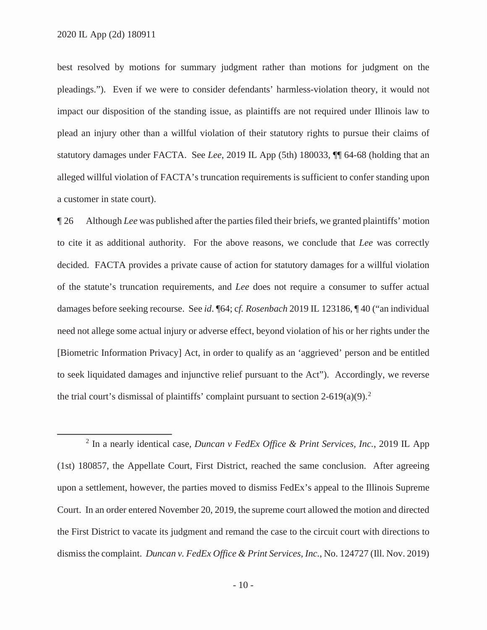best resolved by motions for summary judgment rather than motions for judgment on the pleadings."). Even if we were to consider defendants' harmless-violation theory, it would not impact our disposition of the standing issue, as plaintiffs are not required under Illinois law to plead an injury other than a willful violation of their statutory rights to pursue their claims of statutory damages under FACTA. See *Lee*, 2019 IL App (5th) 180033, ¶¶ 64-68 (holding that an alleged willful violation of FACTA's truncation requirements is sufficient to confer standing upon a customer in state court).

¶ 26 Although *Lee* was published after the parties filed their briefs, we granted plaintiffs' motion to cite it as additional authority. For the above reasons, we conclude that *Lee* was correctly decided. FACTA provides a private cause of action for statutory damages for a willful violation of the statute's truncation requirements, and *Lee* does not require a consumer to suffer actual damages before seeking recourse. See *id*. ¶64; c*f. Rosenbach* 2019 IL 123186, ¶ 40 ("an individual need not allege some actual injury or adverse effect, beyond violation of his or her rights under the [Biometric Information Privacy] Act, in order to qualify as an 'aggrieved' person and be entitled to seek liquidated damages and injunctive relief pursuant to the Act"). Accordingly, we reverse the trial court's dismissal of plaintiffs' complaint pursuant to section 2-619(a)(9).<sup>2</sup>

<sup>2</sup> In a nearly identical case, *Duncan v FedEx Office & Print Services, Inc.*, 2019 IL App (1st) 180857, the Appellate Court, First District, reached the same conclusion. After agreeing upon a settlement, however, the parties moved to dismiss FedEx's appeal to the Illinois Supreme Court. In an order entered November 20, 2019, the supreme court allowed the motion and directed the First District to vacate its judgment and remand the case to the circuit court with directions to dismiss the complaint. *Duncan v. FedEx Office & Print Services, Inc.*, No. 124727 (Ill. Nov. 2019)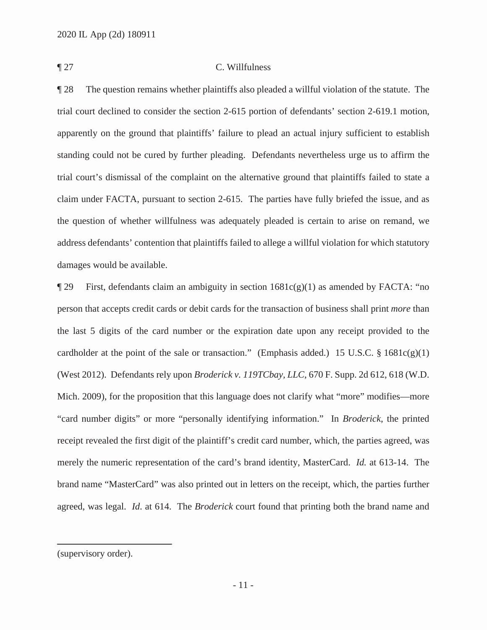## ¶ 27 C. Willfulness

¶ 28 The question remains whether plaintiffs also pleaded a willful violation of the statute. The trial court declined to consider the section 2-615 portion of defendants' section 2-619.1 motion, apparently on the ground that plaintiffs' failure to plead an actual injury sufficient to establish standing could not be cured by further pleading. Defendants nevertheless urge us to affirm the trial court's dismissal of the complaint on the alternative ground that plaintiffs failed to state a claim under FACTA, pursuant to section 2-615. The parties have fully briefed the issue, and as the question of whether willfulness was adequately pleaded is certain to arise on remand, we address defendants' contention that plaintiffs failed to allege a willful violation for which statutory damages would be available.

 $\P$  29 First, defendants claim an ambiguity in section  $1681c(g)(1)$  as amended by FACTA: "no person that accepts credit cards or debit cards for the transaction of business shall print *more* than the last 5 digits of the card number or the expiration date upon any receipt provided to the cardholder at the point of the sale or transaction." (Emphasis added.) 15 U.S.C.  $\S$  1681c(g)(1) (West 2012). Defendants rely upon *Broderick v. 119TCbay, LLC*, 670 F. Supp. 2d 612, 618 (W.D. Mich. 2009), for the proposition that this language does not clarify what "more" modifies—more "card number digits" or more "personally identifying information." In *Broderick*, the printed receipt revealed the first digit of the plaintiff's credit card number, which, the parties agreed, was merely the numeric representation of the card's brand identity, MasterCard. *Id.* at 613-14. The brand name "MasterCard" was also printed out in letters on the receipt, which, the parties further agreed, was legal. *Id*. at 614. The *Broderick* court found that printing both the brand name and

<sup>(</sup>supervisory order).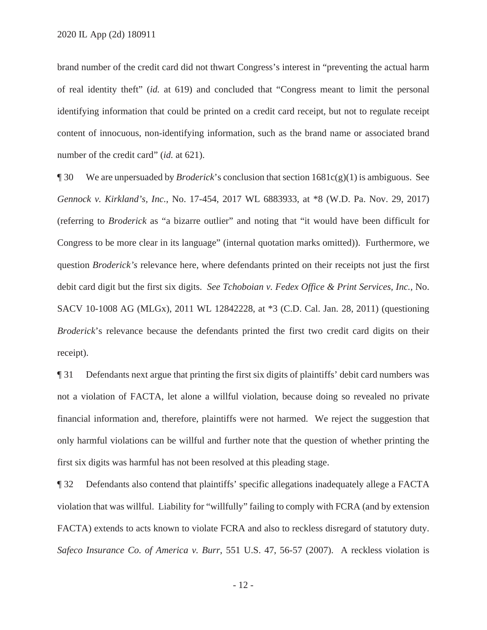brand number of the credit card did not thwart Congress's interest in "preventing the actual harm of real identity theft" (*id.* at 619) and concluded that "Congress meant to limit the personal identifying information that could be printed on a credit card receipt, but not to regulate receipt content of innocuous, non-identifying information, such as the brand name or associated brand number of the credit card" (*id.* at 621).

¶ 30 We are unpersuaded by *Broderick*'s conclusion that section 1681c(g)(1) is ambiguous. See *Gennock v. Kirkland's, Inc.*, No. 17-454, 2017 WL 6883933, at \*8 (W.D. Pa. Nov. 29, 2017) (referring to *Broderick* as "a bizarre outlier" and noting that "it would have been difficult for Congress to be more clear in its language" (internal quotation marks omitted)). Furthermore, we question *Broderick's* relevance here, where defendants printed on their receipts not just the first debit card digit but the first six digits. *See Tchoboian v. Fedex Office & Print Services, Inc.*, No. SACV 10-1008 AG (MLGx), 2011 WL 12842228, at \*3 (C.D. Cal. Jan. 28, 2011) (questioning *Broderick*'s relevance because the defendants printed the first two credit card digits on their receipt).

¶ 31 Defendants next argue that printing the first six digits of plaintiffs' debit card numbers was not a violation of FACTA, let alone a willful violation, because doing so revealed no private financial information and, therefore, plaintiffs were not harmed. We reject the suggestion that only harmful violations can be willful and further note that the question of whether printing the first six digits was harmful has not been resolved at this pleading stage.

¶ 32 Defendants also contend that plaintiffs' specific allegations inadequately allege a FACTA violation that was willful. Liability for "willfully" failing to comply with FCRA (and by extension FACTA) extends to acts known to violate FCRA and also to reckless disregard of statutory duty. *Safeco Insurance Co. of America v. Burr*, 551 U.S. 47, 56-57 (2007). A reckless violation is

- 12 -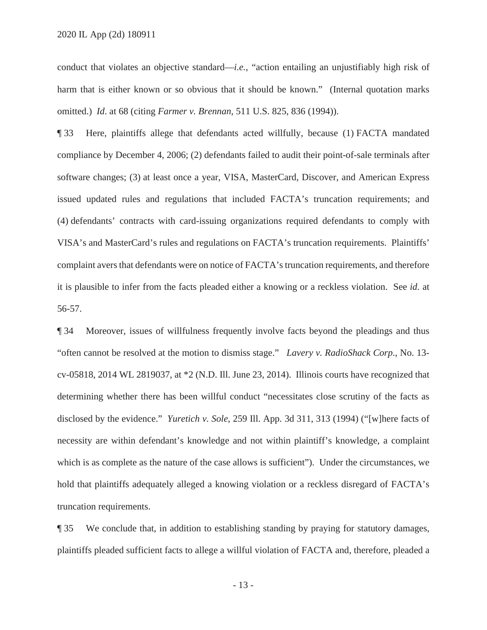conduct that violates an objective standard—*i.e.*, "action entailing an unjustifiably high risk of harm that is either known or so obvious that it should be known." (Internal quotation marks omitted.) *Id*. at 68 (citing *Farmer v. Brennan*, 511 U.S. 825, 836 (1994)).

¶ 33 Here, plaintiffs allege that defendants acted willfully, because (1) FACTA mandated compliance by December 4, 2006; (2) defendants failed to audit their point-of-sale terminals after software changes; (3) at least once a year, VISA, MasterCard, Discover, and American Express issued updated rules and regulations that included FACTA's truncation requirements; and (4) defendants' contracts with card-issuing organizations required defendants to comply with VISA's and MasterCard's rules and regulations on FACTA's truncation requirements. Plaintiffs' complaint avers that defendants were on notice of FACTA's truncation requirements, and therefore it is plausible to infer from the facts pleaded either a knowing or a reckless violation. See *id.* at 56-57.

¶ 34 Moreover, issues of willfulness frequently involve facts beyond the pleadings and thus "often cannot be resolved at the motion to dismiss stage." *Lavery v. RadioShack Corp*., No. 13 cv-05818, 2014 WL 2819037, at \*2 (N.D. Ill. June 23, 2014). Illinois courts have recognized that determining whether there has been willful conduct "necessitates close scrutiny of the facts as disclosed by the evidence." *Yuretich v. Sole*, 259 Ill. App. 3d 311, 313 (1994) ("[w]here facts of necessity are within defendant's knowledge and not within plaintiff's knowledge, a complaint which is as complete as the nature of the case allows is sufficient"). Under the circumstances, we hold that plaintiffs adequately alleged a knowing violation or a reckless disregard of FACTA's truncation requirements.

¶ 35 We conclude that, in addition to establishing standing by praying for statutory damages, plaintiffs pleaded sufficient facts to allege a willful violation of FACTA and, therefore, pleaded a

- 13 -